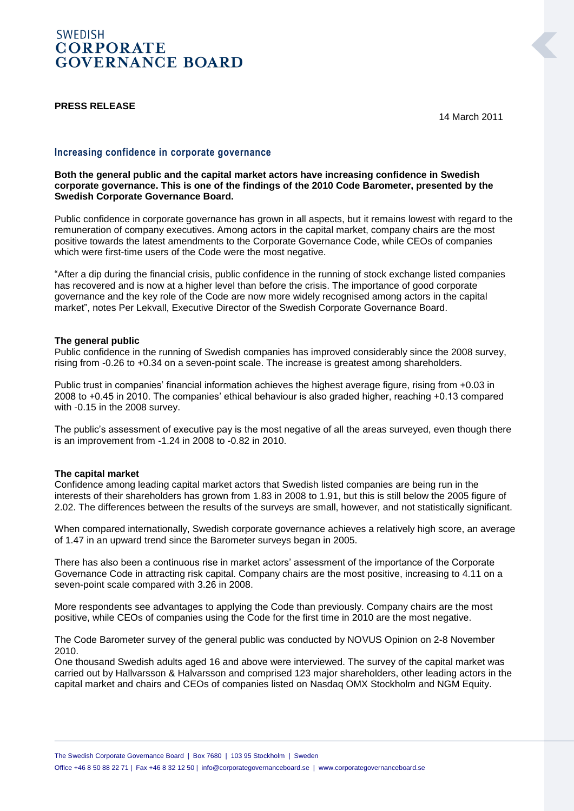# **SWEDISH CORPORATE GOVERNANCE BOARD**

## **PRESS RELEASE**

14 March 2011

# **Increasing confidence in corporate governance**

**Both the general public and the capital market actors have increasing confidence in Swedish corporate governance. This is one of the findings of the 2010 Code Barometer, presented by the Swedish Corporate Governance Board.**

Public confidence in corporate governance has grown in all aspects, but it remains lowest with regard to the remuneration of company executives. Among actors in the capital market, company chairs are the most positive towards the latest amendments to the Corporate Governance Code, while CEOs of companies which were first-time users of the Code were the most negative.

"After a dip during the financial crisis, public confidence in the running of stock exchange listed companies has recovered and is now at a higher level than before the crisis. The importance of good corporate governance and the key role of the Code are now more widely recognised among actors in the capital market", notes Per Lekvall, Executive Director of the Swedish Corporate Governance Board.

### **The general public**

Public confidence in the running of Swedish companies has improved considerably since the 2008 survey, rising from -0.26 to +0.34 on a seven-point scale. The increase is greatest among shareholders.

Public trust in companies' financial information achieves the highest average figure, rising from +0.03 in 2008 to +0.45 in 2010. The companies' ethical behaviour is also graded higher, reaching +0.13 compared with -0.15 in the 2008 survey.

The public's assessment of executive pay is the most negative of all the areas surveyed, even though there is an improvement from -1.24 in 2008 to -0.82 in 2010.

#### **The capital market**

Confidence among leading capital market actors that Swedish listed companies are being run in the interests of their shareholders has grown from 1.83 in 2008 to 1.91, but this is still below the 2005 figure of 2.02. The differences between the results of the surveys are small, however, and not statistically significant.

When compared internationally, Swedish corporate governance achieves a relatively high score, an average of 1.47 in an upward trend since the Barometer surveys began in 2005.

There has also been a continuous rise in market actors' assessment of the importance of the Corporate Governance Code in attracting risk capital. Company chairs are the most positive, increasing to 4.11 on a seven-point scale compared with 3.26 in 2008.

More respondents see advantages to applying the Code than previously. Company chairs are the most positive, while CEOs of companies using the Code for the first time in 2010 are the most negative.

The Code Barometer survey of the general public was conducted by NOVUS Opinion on 2-8 November 2010.

One thousand Swedish adults aged 16 and above were interviewed. The survey of the capital market was carried out by Hallvarsson & Halvarsson and comprised 123 major shareholders, other leading actors in the capital market and chairs and CEOs of companies listed on Nasdaq OMX Stockholm and NGM Equity.

Office +46 8 50 88 22 71 | Fax +46 8 32 12 50 | info@corporategovernanceboard.se | www.corporategovernanceboard.se

The Swedish Corporate Governance Board | Box 7680 | 103 95 Stockholm | Sweden